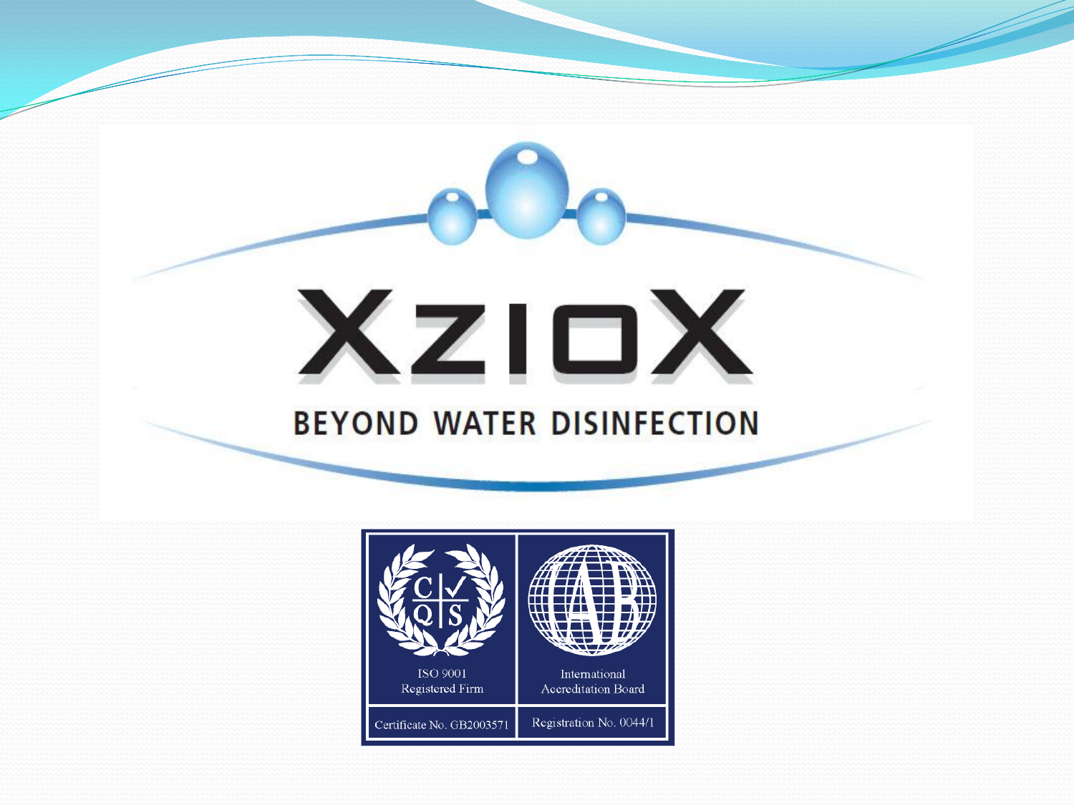

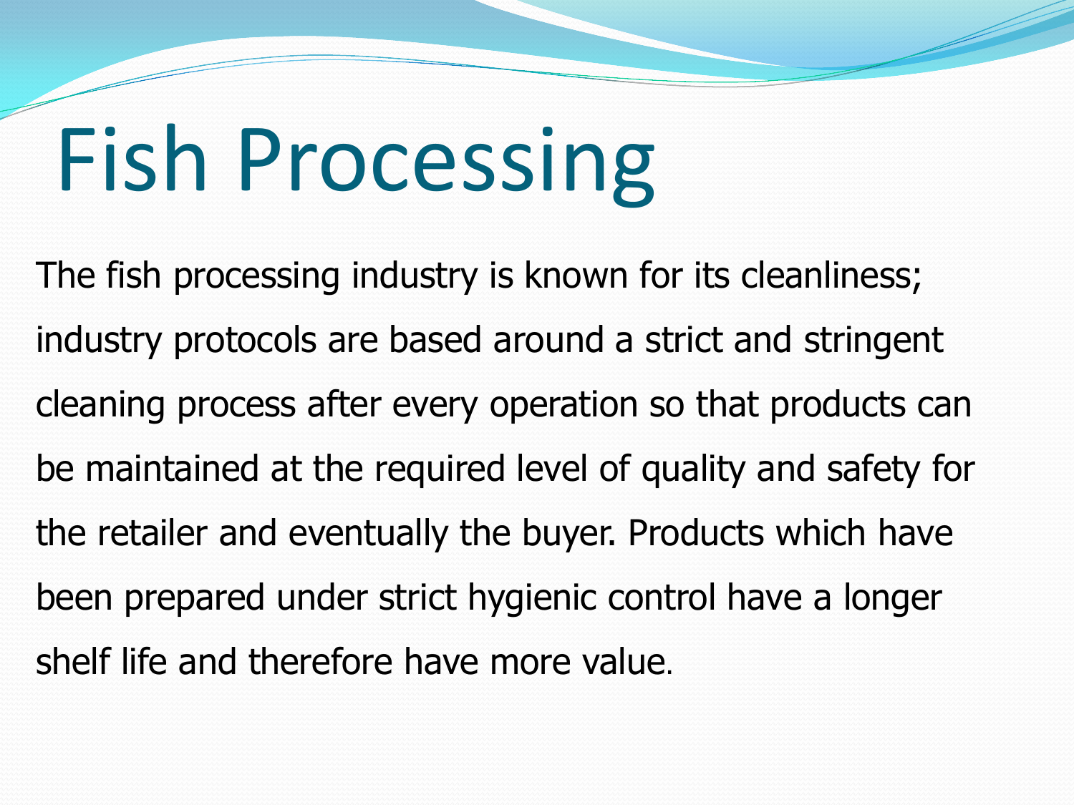# Fish Processing

The fish processing industry is known for its cleanliness; industry protocols are based around a strict and stringent cleaning process after every operation so that products can be maintained at the required level of quality and safety for the retailer and eventually the buyer. Products which have been prepared under strict hygienic control have a longer shelf life and therefore have more value.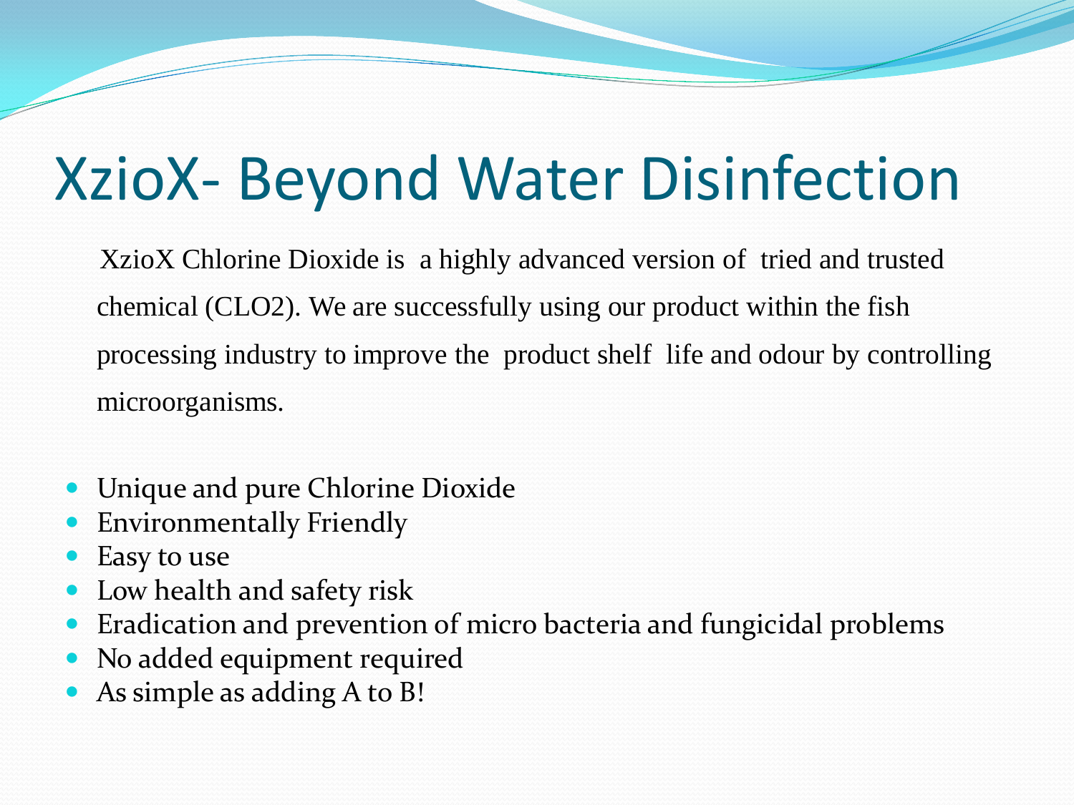### XzioX- Beyond Water Disinfection

XzioX Chlorine Dioxide is a highly advanced version of tried and trusted chemical (CLO2). We are successfully using our product within the fish processing industry to improve the product shelf life and odour by controlling microorganisms.

- Unique and pure Chlorine Dioxide
- Environmentally Friendly
- Easy to use
- Low health and safety risk
- Eradication and prevention of micro bacteria and fungicidal problems
- No added equipment required
- As simple as adding A to B!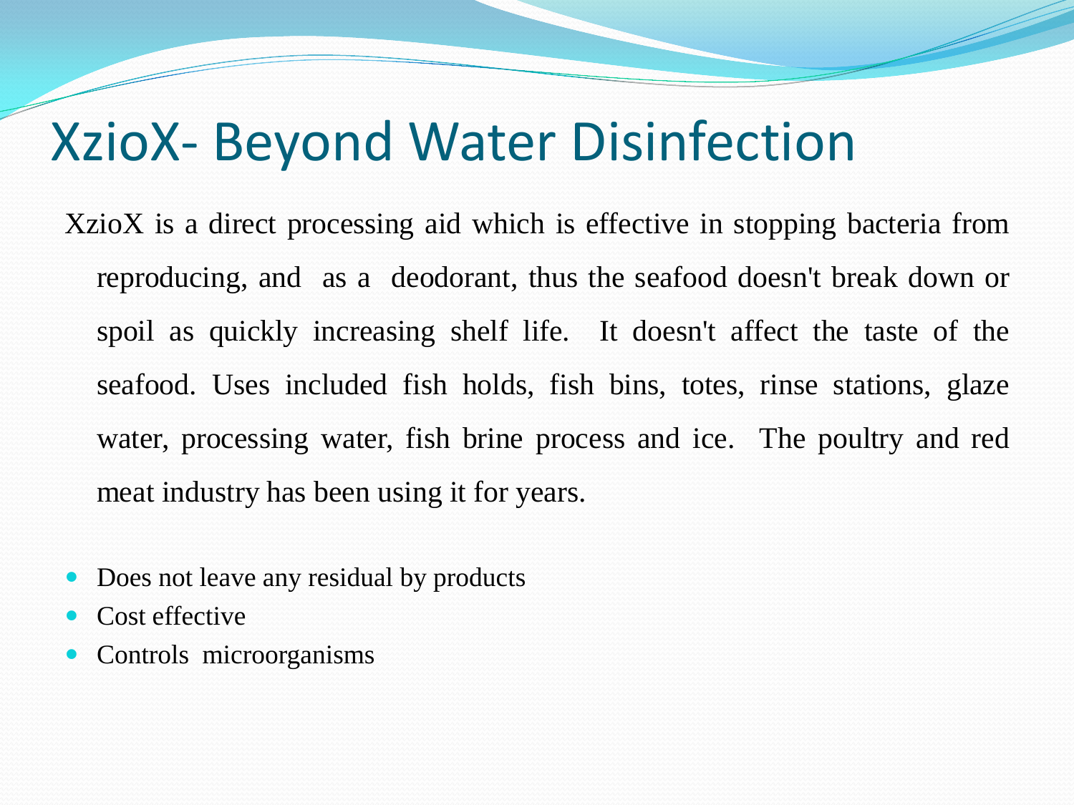#### XzioX- Beyond Water Disinfection

XzioX is a direct processing aid which is effective in stopping bacteria from reproducing, and as a deodorant, thus the seafood doesn't break down or spoil as quickly increasing shelf life. It doesn't affect the taste of the seafood. Uses included fish holds, fish bins, totes, rinse stations, glaze water, processing water, fish brine process and ice. The poultry and red meat industry has been using it for years.

- Does not leave any residual by products
- Cost effective
- Controls microorganisms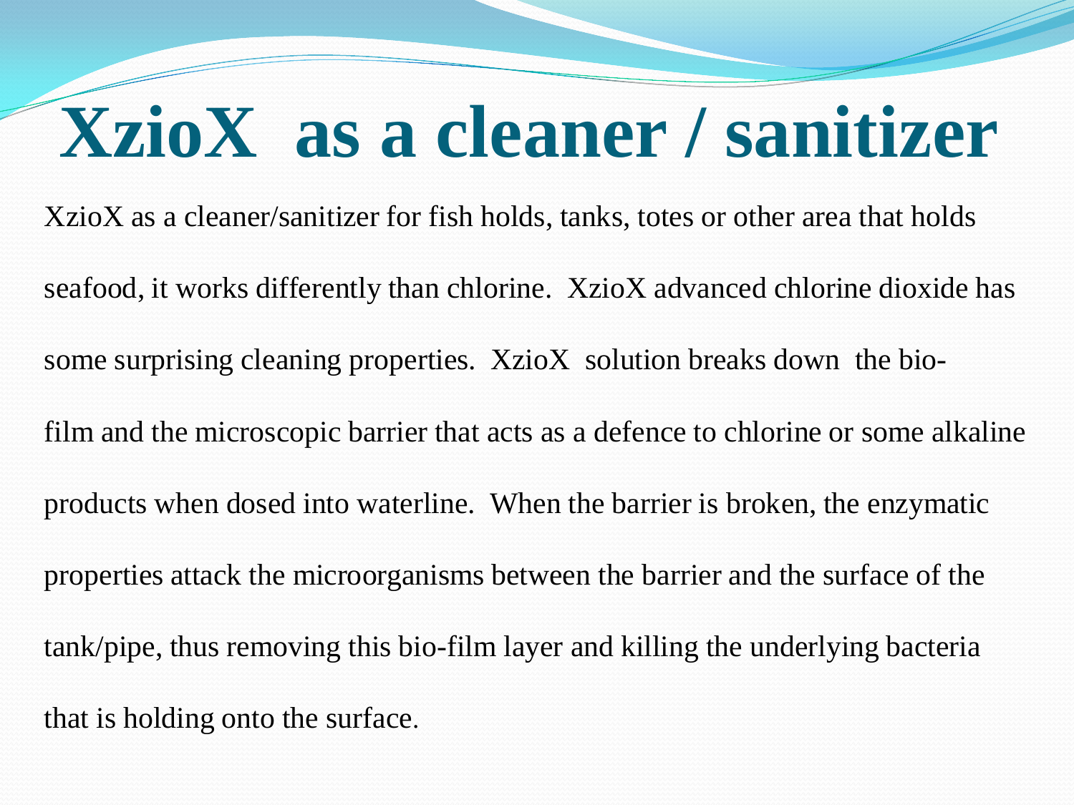## **XzioX as a cleaner / sanitizer**

XzioX as a cleaner/sanitizer for fish holds, tanks, totes or other area that holds seafood, it works differently than chlorine. XzioX advanced chlorine dioxide has some surprising cleaning properties. XzioX solution breaks down the biofilm and the microscopic barrier that acts as a defence to chlorine or some alkaline products when dosed into waterline. When the barrier is broken, the enzymatic properties attack the microorganisms between the barrier and the surface of the tank/pipe, thus removing this bio-film layer and killing the underlying bacteria that is holding onto the surface.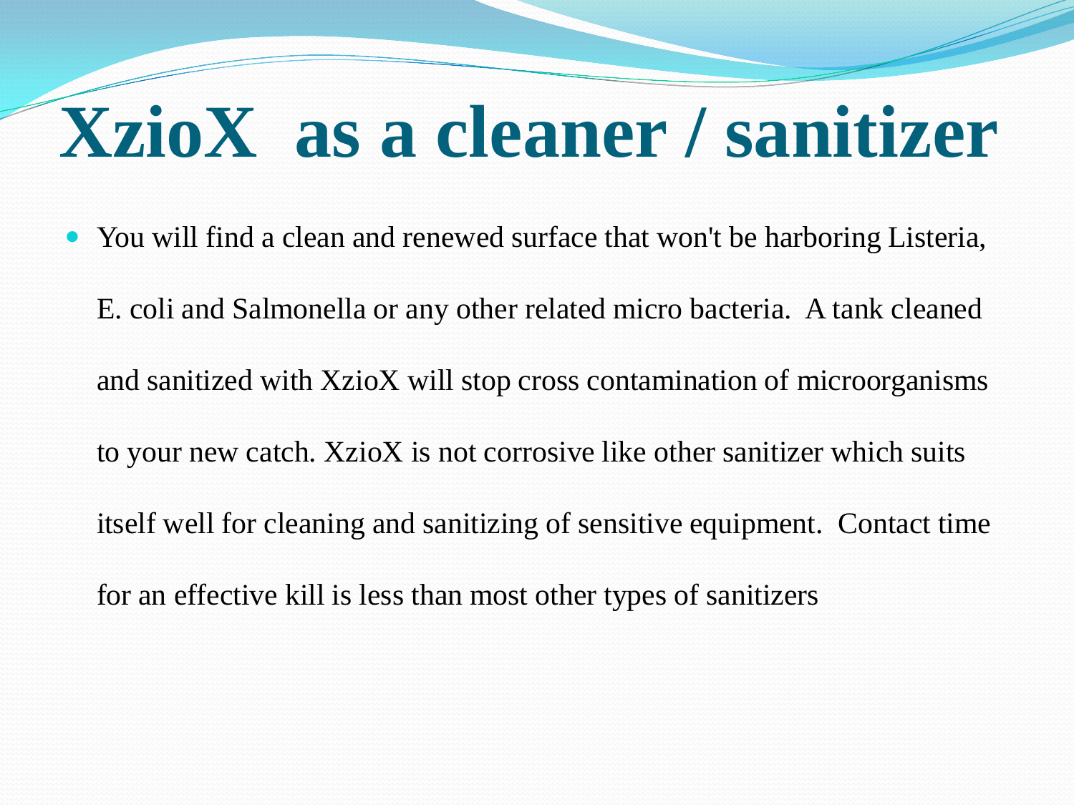### **XzioX as a cleaner / sanitizer**

• You will find a clean and renewed surface that won't be harboring Listeria, E. coli and Salmonella or any other related micro bacteria. A tank cleaned and sanitized with XzioX will stop cross contamination of microorganisms to your new catch. XzioX is not corrosive like other sanitizer which suits itself well for cleaning and sanitizing of sensitive equipment. Contact time for an effective kill is less than most other types of sanitizers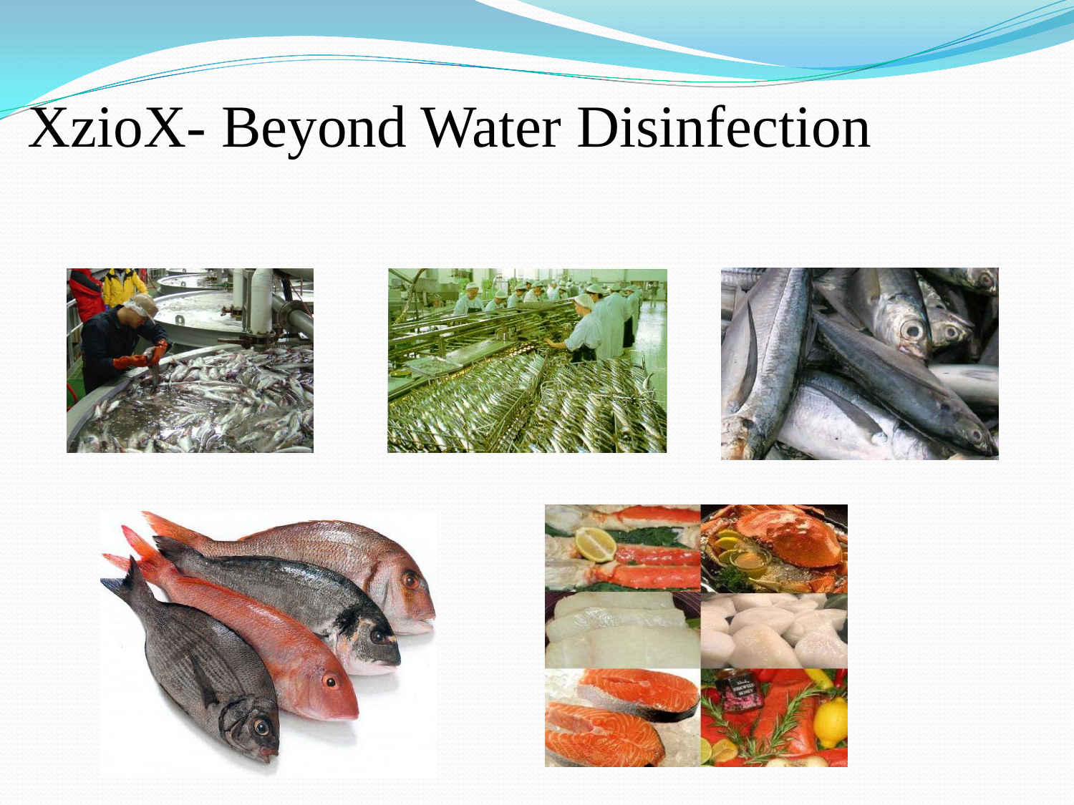### XzioX- Beyond Water Disinfection